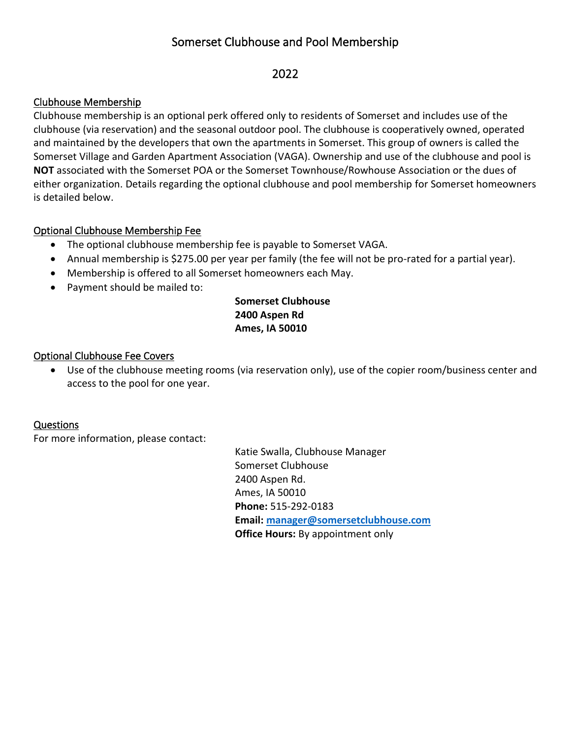# Somerset Clubhouse and Pool Membership

## 2022

## Clubhouse Membership

Clubhouse membership is an optional perk offered only to residents of Somerset and includes use of the clubhouse (via reservation) and the seasonal outdoor pool. The clubhouse is cooperatively owned, operated and maintained by the developers that own the apartments in Somerset. This group of owners is called the Somerset Village and Garden Apartment Association (VAGA). Ownership and use of the clubhouse and pool is **NOT** associated with the Somerset POA or the Somerset Townhouse/Rowhouse Association or the dues of either organization. Details regarding the optional clubhouse and pool membership for Somerset homeowners is detailed below.

## Optional Clubhouse Membership Fee

- The optional clubhouse membership fee is payable to Somerset VAGA.
- Annual membership is \$275.00 per year per family (the fee will not be pro-rated for a partial year).
- Membership is offered to all Somerset homeowners each May.
- Payment should be mailed to:

## **Somerset Clubhouse 2400 Aspen Rd Ames, IA 50010**

## Optional Clubhouse Fee Covers

• Use of the clubhouse meeting rooms (via reservation only), use of the copier room/business center and access to the pool for one year.

## Questions

For more information, please contact:

Katie Swalla, Clubhouse Manager Somerset Clubhouse 2400 Aspen Rd. Ames, IA 50010 **Phone:** 515-292-0183 **Email: [manager@somersetclubhouse.com](file:///C:/Users/Office/Documents/THRH%202/manager@somersetclubhouse.com) Office Hours:** By appointment only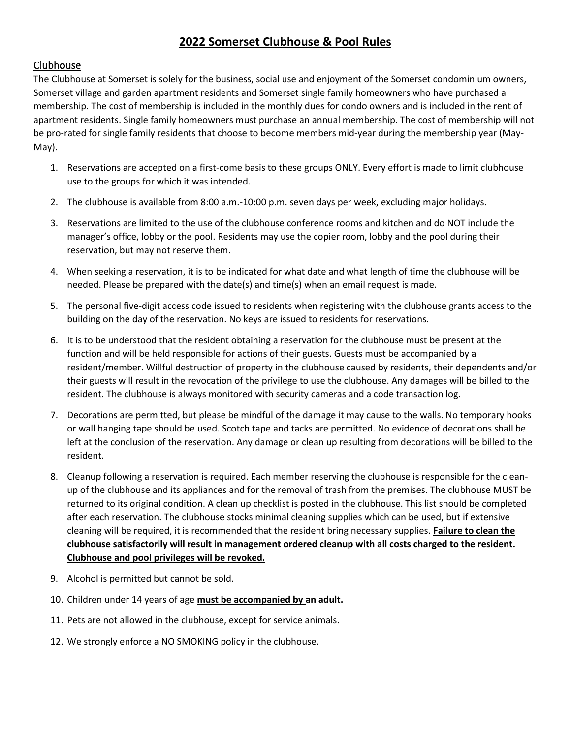## **2022 Somerset Clubhouse & Pool Rules**

### Clubhouse

The Clubhouse at Somerset is solely for the business, social use and enjoyment of the Somerset condominium owners, Somerset village and garden apartment residents and Somerset single family homeowners who have purchased a membership. The cost of membership is included in the monthly dues for condo owners and is included in the rent of apartment residents. Single family homeowners must purchase an annual membership. The cost of membership will not be pro-rated for single family residents that choose to become members mid-year during the membership year (May-May).

- 1. Reservations are accepted on a first-come basis to these groups ONLY. Every effort is made to limit clubhouse use to the groups for which it was intended.
- 2. The clubhouse is available from 8:00 a.m.-10:00 p.m. seven days per week, excluding major holidays.
- 3. Reservations are limited to the use of the clubhouse conference rooms and kitchen and do NOT include the manager's office, lobby or the pool. Residents may use the copier room, lobby and the pool during their reservation, but may not reserve them.
- 4. When seeking a reservation, it is to be indicated for what date and what length of time the clubhouse will be needed. Please be prepared with the date(s) and time(s) when an email request is made.
- 5. The personal five-digit access code issued to residents when registering with the clubhouse grants access to the building on the day of the reservation. No keys are issued to residents for reservations.
- 6. It is to be understood that the resident obtaining a reservation for the clubhouse must be present at the function and will be held responsible for actions of their guests. Guests must be accompanied by a resident/member. Willful destruction of property in the clubhouse caused by residents, their dependents and/or their guests will result in the revocation of the privilege to use the clubhouse. Any damages will be billed to the resident. The clubhouse is always monitored with security cameras and a code transaction log.
- 7. Decorations are permitted, but please be mindful of the damage it may cause to the walls. No temporary hooks or wall hanging tape should be used. Scotch tape and tacks are permitted. No evidence of decorations shall be left at the conclusion of the reservation. Any damage or clean up resulting from decorations will be billed to the resident.
- 8. Cleanup following a reservation is required. Each member reserving the clubhouse is responsible for the cleanup of the clubhouse and its appliances and for the removal of trash from the premises. The clubhouse MUST be returned to its original condition. A clean up checklist is posted in the clubhouse. This list should be completed after each reservation. The clubhouse stocks minimal cleaning supplies which can be used, but if extensive cleaning will be required, it is recommended that the resident bring necessary supplies. **Failure to clean the clubhouse satisfactorily will result in management ordered cleanup with all costs charged to the resident. Clubhouse and pool privileges will be revoked.**
- 9. Alcohol is permitted but cannot be sold.
- 10. Children under 14 years of age **must be accompanied by an adult.**
- 11. Pets are not allowed in the clubhouse, except for service animals.
- 12. We strongly enforce a NO SMOKING policy in the clubhouse.